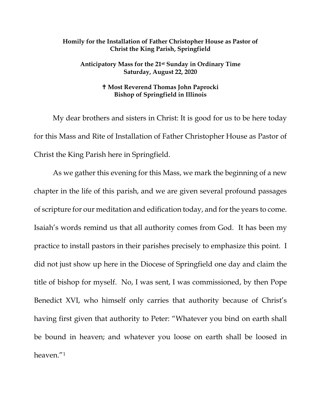## **Homily for the Installation of Father Christopher House as Pastor of Christ the King Parish, Springfield**

## **Anticipatory Mass for the 21st Sunday in Ordinary Time Saturday, August 22, 2020**

## **Most Reverend Thomas John Paprocki Bishop of Springfield in Illinois**

My dear brothers and sisters in Christ: It is good for us to be here today for this Mass and Rite of Installation of Father Christopher House as Pastor of Christ the King Parish here in Springfield.

As we gather this evening for this Mass, we mark the beginning of a new chapter in the life of this parish, and we are given several profound passages of scripture for our meditation and edification today, and for the years to come. Isaiah's words remind us that all authority comes from God. It has been my practice to install pastors in their parishes precisely to emphasize this point. I did not just show up here in the Diocese of Springfield one day and claim the title of bishop for myself. No, I was sent, I was commissioned, by then Pope Benedict XVI, who himself only carries that authority because of Christ's having first given that authority to Peter: "Whatever you bind on earth shall be bound in heaven; and whatever you loose on earth shall be loosed in heaven."[1](#page-7-0)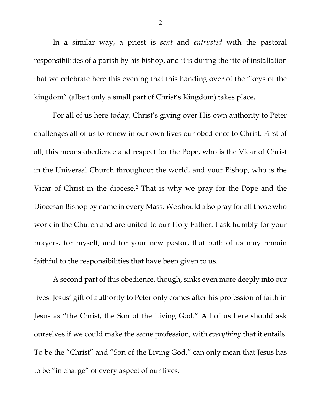In a similar way, a priest is *sent* and *entrusted* with the pastoral responsibilities of a parish by his bishop, and it is during the rite of installation that we celebrate here this evening that this handing over of the "keys of the kingdom" (albeit only a small part of Christ's Kingdom) takes place.

For all of us here today, Christ's giving over His own authority to Peter challenges all of us to renew in our own lives our obedience to Christ. First of all, this means obedience and respect for the Pope, who is the Vicar of Christ in the Universal Church throughout the world, and your Bishop, who is the Vicar of Christ in the diocese.[2](#page-7-1) That is why we pray for the Pope and the Diocesan Bishop by name in every Mass. We should also pray for all those who work in the Church and are united to our Holy Father. I ask humbly for your prayers, for myself, and for your new pastor, that both of us may remain faithful to the responsibilities that have been given to us.

A second part of this obedience, though, sinks even more deeply into our lives: Jesus' gift of authority to Peter only comes after his profession of faith in Jesus as "the Christ, the Son of the Living God." All of us here should ask ourselves if we could make the same profession, with *everything* that it entails. To be the "Christ" and "Son of the Living God," can only mean that Jesus has to be "in charge" of every aspect of our lives.

2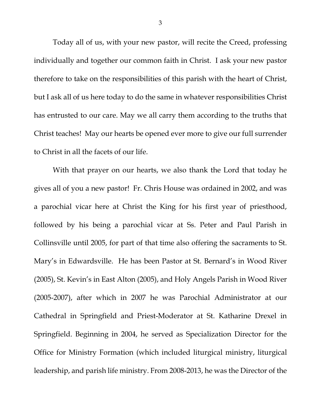Today all of us, with your new pastor, will recite the Creed, professing individually and together our common faith in Christ. I ask your new pastor therefore to take on the responsibilities of this parish with the heart of Christ, but I ask all of us here today to do the same in whatever responsibilities Christ has entrusted to our care. May we all carry them according to the truths that Christ teaches! May our hearts be opened ever more to give our full surrender to Christ in all the facets of our life.

With that prayer on our hearts, we also thank the Lord that today he gives all of you a new pastor! Fr. Chris House was ordained in 2002, and was a parochial vicar here at Christ the King for his first year of priesthood, followed by his being a parochial vicar at Ss. Peter and Paul Parish in Collinsville until 2005, for part of that time also offering the sacraments to St. Mary's in Edwardsville. He has been Pastor at St. Bernard's in Wood River (2005), St. Kevin's in East Alton (2005), and Holy Angels Parish in Wood River (2005-2007), after which in 2007 he was Parochial Administrator at our Cathedral in Springfield and Priest-Moderator at St. Katharine Drexel in Springfield. Beginning in 2004, he served as Specialization Director for the Office for Ministry Formation (which included liturgical ministry, liturgical leadership, and parish life ministry. From 2008-2013, he was the Director of the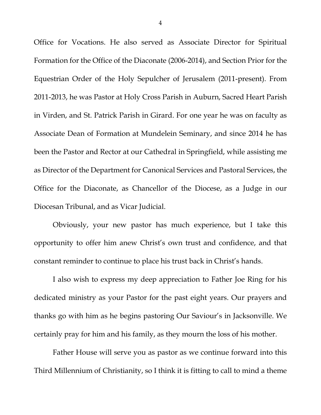Office for Vocations. He also served as Associate Director for Spiritual Formation for the Office of the Diaconate (2006-2014), and Section Prior for the Equestrian Order of the Holy Sepulcher of Jerusalem (2011-present). From 2011-2013, he was Pastor at Holy Cross Parish in Auburn, Sacred Heart Parish in Virden, and St. Patrick Parish in Girard. For one year he was on faculty as Associate Dean of Formation at Mundelein Seminary, and since 2014 he has been the Pastor and Rector at our Cathedral in Springfield, while assisting me as Director of the Department for Canonical Services and Pastoral Services, the Office for the Diaconate, as Chancellor of the Diocese, as a Judge in our Diocesan Tribunal, and as Vicar Judicial.

Obviously, your new pastor has much experience, but I take this opportunity to offer him anew Christ's own trust and confidence, and that constant reminder to continue to place his trust back in Christ's hands.

I also wish to express my deep appreciation to Father Joe Ring for his dedicated ministry as your Pastor for the past eight years. Our prayers and thanks go with him as he begins pastoring Our Saviour's in Jacksonville. We certainly pray for him and his family, as they mourn the loss of his mother.

Father House will serve you as pastor as we continue forward into this Third Millennium of Christianity, so I think it is fitting to call to mind a theme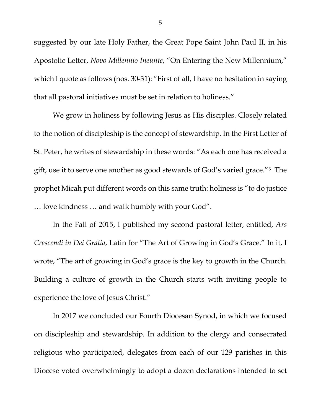suggested by our late Holy Father, the Great Pope Saint John Paul II, in his Apostolic Letter, *Novo Millennio Ineunte*, "On Entering the New Millennium," which I quote as follows (nos. 30-31): "First of all, I have no hesitation in saying that all pastoral initiatives must be set in relation to holiness."

We grow in holiness by following Jesus as His disciples. Closely related to the notion of discipleship is the concept of stewardship. In the First Letter of St. Peter, he writes of stewardship in these words: "As each one has received a gift, use it to serve one another as good stewards of God's varied grace."[3](#page-7-2) The prophet Micah put different words on this same truth: holiness is "to do justice … love kindness … and walk humbly with your God".

In the Fall of 2015, I published my second pastoral letter, entitled, *Ars Crescendi in Dei Gratia*, Latin for "The Art of Growing in God's Grace." In it, I wrote, "The art of growing in God's grace is the key to growth in the Church. Building a culture of growth in the Church starts with inviting people to experience the love of Jesus Christ."

In 2017 we concluded our Fourth Diocesan Synod, in which we focused on discipleship and stewardship. In addition to the clergy and consecrated religious who participated, delegates from each of our 129 parishes in this Diocese voted overwhelmingly to adopt a dozen declarations intended to set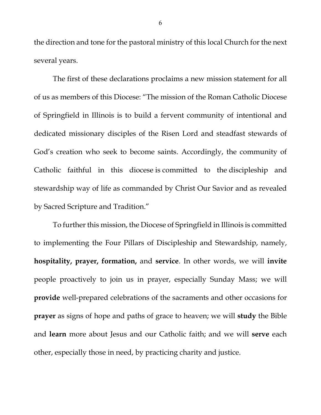the direction and tone for the pastoral ministry of this local Church for the next several years.

The first of these declarations proclaims a new mission statement for all of us as members of this Diocese: "The mission of the Roman Catholic Diocese of Springfield in Illinois is to build a fervent community of intentional and dedicated missionary disciples of the Risen Lord and steadfast stewards of God's creation who seek to become saints. Accordingly, the community of Catholic faithful in this diocese is committed to the discipleship and stewardship way of life as commanded by Christ Our Savior and as revealed by Sacred Scripture and Tradition."

To further this mission, the Diocese of Springfield in Illinois is committed to implementing the Four Pillars of Discipleship and Stewardship, namely, **hospitality, prayer, formation,** and **service**. In other words, we will **invite** people proactively to join us in prayer, especially Sunday Mass; we will **provide** well-prepared celebrations of the sacraments and other occasions for **prayer** as signs of hope and paths of grace to heaven; we will **study** the Bible and **learn** more about Jesus and our Catholic faith; and we will **serve** each other, especially those in need, by practicing charity and justice.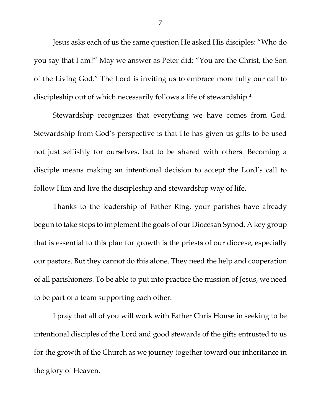Jesus asks each of us the same question He asked His disciples: "Who do you say that I am?" May we answer as Peter did: "You are the Christ, the Son of the Living God." The Lord is inviting us to embrace more fully our call to discipleship out of which necessarily follows a life of stewardship[.4](#page-7-3)

Stewardship recognizes that everything we have comes from God. Stewardship from God's perspective is that He has given us gifts to be used not just selfishly for ourselves, but to be shared with others. Becoming a disciple means making an intentional decision to accept the Lord's call to follow Him and live the discipleship and stewardship way of life.

Thanks to the leadership of Father Ring, your parishes have already begun to take steps to implement the goals of our Diocesan Synod. A key group that is essential to this plan for growth is the priests of our diocese, especially our pastors. But they cannot do this alone. They need the help and cooperation of all parishioners. To be able to put into practice the mission of Jesus, we need to be part of a team supporting each other.

I pray that all of you will work with Father Chris House in seeking to be intentional disciples of the Lord and good stewards of the gifts entrusted to us for the growth of the Church as we journey together toward our inheritance in the glory of Heaven.